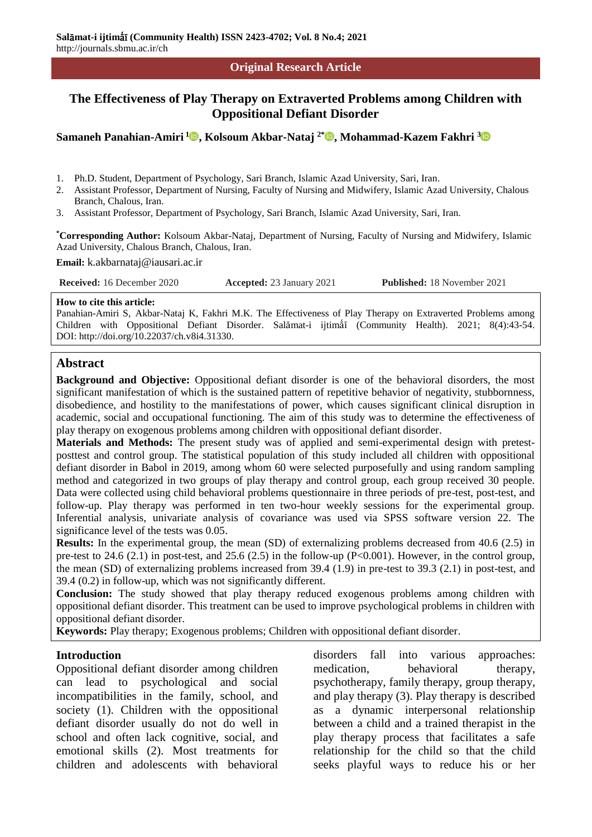#### **Original Research Article**

# **The Effectiveness of Play Therapy on Extraverted Problems among Children with Oppositional Defiant Disorder**

**Samaneh Panahian-Amiri <sup>1</sup> , Kolsoum Akbar-Nataj 2\* , Mohammad-Kazem Fakhri [3](https://orcid.org/0000-0001-7790-2588)**

- 1. Ph.D. Student, Department of Psychology, Sari Branch, Islamic Azad University, Sari, Iran.
- 2. Assistant Professor, Department of Nursing, Faculty of Nursing and Midwifery, Islamic Azad University, Chalous Branch, Chalous, Iran.
- 3. Assistant Professor, Department of Psychology, Sari Branch, Islamic Azad University, Sari, Iran.

**\*Corresponding Author:** Kolsoum Akbar-Nataj, Department of Nursing, Faculty of Nursing and Midwifery, Islamic Azad University, Chalous Branch, Chalous, Iran.

**Email:** k.akbarnataj@iausari.ac.ir

**Received:** 16 December 2020 **Accepted:** 23 January 2021 **Published:** 18 November 2021

#### **How to cite this article:**

Panahian-Amiri S, Akbar-Nataj K, Fakhri M.K. The Effectiveness of Play Therapy on Extraverted Problems among Children with Oppositional Defiant Disorder. Salāmat-i ijtimā (Community Health). 2021; 8(4):43-54. DOI: http://doi.org/10.22037/ch.v8i4.31330.

### **Abstract**

**Background and Objective:** Oppositional defiant disorder is one of the behavioral disorders, the most significant manifestation of which is the sustained pattern of repetitive behavior of negativity, stubbornness, disobedience, and hostility to the manifestations of power, which causes significant clinical disruption in academic, social and occupational functioning. The aim of this study was to determine the effectiveness of play therapy on exogenous problems among children with oppositional defiant disorder.

**Materials and Methods:** The present study was of applied and semi-experimental design with pretestposttest and control group. The statistical population of this study included all children with oppositional defiant disorder in Babol in 2019, among whom 60 were selected purposefully and using random sampling method and categorized in two groups of play therapy and control group, each group received 30 people. Data were collected using child behavioral problems questionnaire in three periods of pre-test, post-test, and follow-up. Play therapy was performed in ten two-hour weekly sessions for the experimental group. Inferential analysis, univariate analysis of covariance was used via SPSS software version 22. The significance level of the tests was 0.05.

**Results:** In the experimental group, the mean (SD) of externalizing problems decreased from 40.6 (2.5) in pre-test to 24.6 (2.1) in post-test, and 25.6 (2.5) in the follow-up (P<0.001). However, in the control group, the mean (SD) of externalizing problems increased from 39.4 (1.9) in pre-test to 39.3 (2.1) in post-test, and 39.4 (0.2) in follow-up, which was not significantly different.

**Conclusion:** The study showed that play therapy reduced exogenous problems among children with oppositional defiant disorder. This treatment can be used to improve psychological problems in children with oppositional defiant disorder.

**Keywords:** Play therapy; Exogenous problems; Children with oppositional defiant disorder.

### **Introduction**

Oppositional defiant disorder among children can lead to psychological and social incompatibilities in the family, school, and society (1). Children with the oppositional defiant disorder usually do not do well in school and often lack cognitive, social, and emotional skills (2). Most treatments for children and adolescents with behavioral

disorders fall into various approaches: medication, behavioral therapy, psychotherapy, family therapy, group therapy, and play therapy (3). Play therapy is described as a dynamic interpersonal relationship between a child and a trained therapist in the play therapy process that facilitates a safe relationship for the child so that the child seeks playful ways to reduce his or her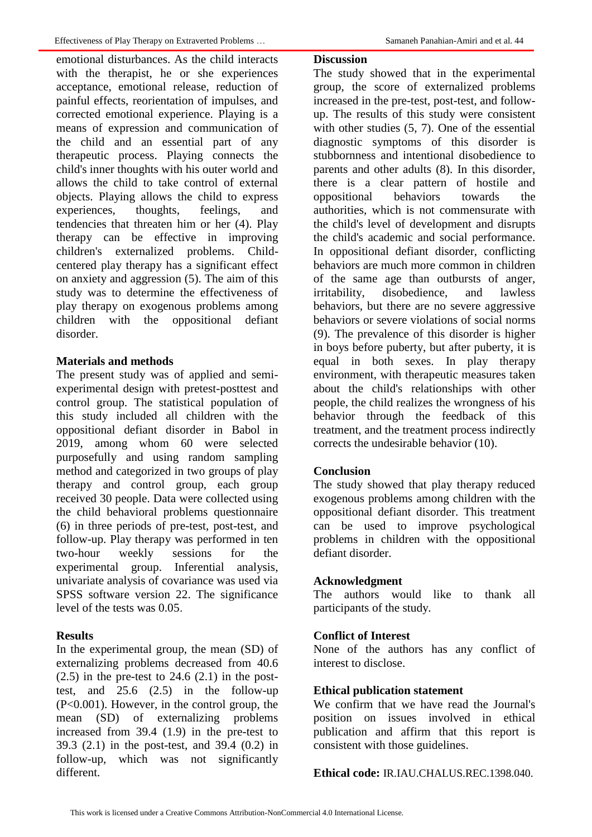emotional disturbances. As the child interacts with the therapist, he or she experiences acceptance, emotional release, reduction of painful effects, reorientation of impulses, and corrected emotional experience. Playing is a means of expression and communication of the child and an essential part of any therapeutic process. Playing connects the child's inner thoughts with his outer world and allows the child to take control of external objects. Playing allows the child to express experiences, thoughts, feelings, and tendencies that threaten him or her (4). Play therapy can be effective in improving children's externalized problems. Childcentered play therapy has a significant effect on anxiety and aggression (5). The aim of this study was to determine the effectiveness of play therapy on exogenous problems among children with the oppositional defiant disorder.

### **Materials and methods**

The present study was of applied and semiexperimental design with pretest-posttest and control group. The statistical population of this study included all children with the oppositional defiant disorder in Babol in 2019, among whom 60 were selected purposefully and using random sampling method and categorized in two groups of play therapy and control group, each group received 30 people. Data were collected using the child behavioral problems questionnaire (6) in three periods of pre-test, post-test, and follow-up. Play therapy was performed in ten two-hour weekly sessions for the experimental group. Inferential analysis, univariate analysis of covariance was used via SPSS software version 22. The significance level of the tests was 0.05.

## **Results**

In the experimental group, the mean (SD) of externalizing problems decreased from 40.6  $(2.5)$  in the pre-test to 24.6  $(2.1)$  in the posttest, and 25.6 (2.5) in the follow-up (P<0.001). However, in the control group, the mean (SD) of externalizing problems increased from 39.4 (1.9) in the pre-test to 39.3 (2.1) in the post-test, and 39.4 (0.2) in follow-up, which was not significantly different.

### **Discussion**

The study showed that in the experimental group, the score of externalized problems increased in the pre-test, post-test, and followup. The results of this study were consistent with other studies  $(5, 7)$ . One of the essential diagnostic symptoms of this disorder is stubbornness and intentional disobedience to parents and other adults (8). In this disorder, there is a clear pattern of hostile and oppositional behaviors towards the authorities, which is not commensurate with the child's level of development and disrupts the child's academic and social performance. In oppositional defiant disorder, conflicting behaviors are much more common in children of the same age than outbursts of anger, irritability, disobedience, and lawless behaviors, but there are no severe aggressive behaviors or severe violations of social norms (9). The prevalence of this disorder is higher in boys before puberty, but after puberty, it is equal in both sexes. In play therapy environment, with therapeutic measures taken about the child's relationships with other people, the child realizes the wrongness of his behavior through the feedback of this treatment, and the treatment process indirectly corrects the undesirable behavior (10).

### **Conclusion**

The study showed that play therapy reduced exogenous problems among children with the oppositional defiant disorder. This treatment can be used to improve psychological problems in children with the oppositional defiant disorder.

### **Acknowledgment**

The authors would like to thank all participants of the study.

## **Conflict of Interest**

None of the authors has any conflict of interest to disclose.

### **Ethical publication statement**

We confirm that we have read the Journal's position on issues involved in ethical publication and affirm that this report is consistent with those guidelines.

**Ethical code:** IR.IAU.CHALUS.REC.1398.040.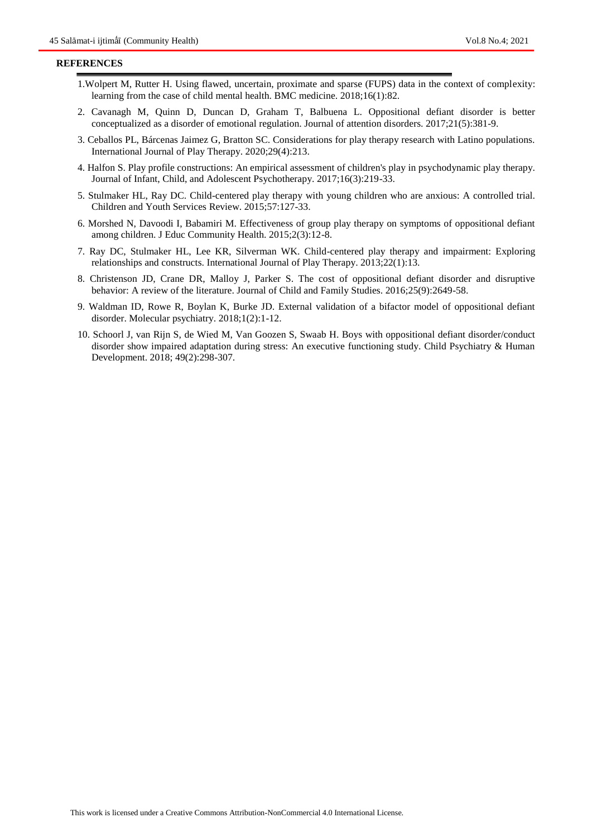#### **REFERENCES**

- 1.Wolpert M, Rutter H. Using flawed, uncertain, proximate and sparse (FUPS) data in the context of complexity: learning from the case of child mental health. BMC medicine. 2018;16(1):82.
- 2. Cavanagh M, Quinn D, Duncan D, Graham T, Balbuena L. Oppositional defiant disorder is better conceptualized as a disorder of emotional regulation. Journal of attention disorders. 2017;21(5):381-9.
- 3. Ceballos PL, Bárcenas Jaimez G, Bratton SC. Considerations for play therapy research with Latino populations. International Journal of Play Therapy. 2020;29(4):213.
- 4. Halfon S. Play profile constructions: An empirical assessment of children's play in psychodynamic play therapy. Journal of Infant, Child, and Adolescent Psychotherapy. 2017;16(3):219-33.
- 5. Stulmaker HL, Ray DC. Child-centered play therapy with young children who are anxious: A controlled trial. Children and Youth Services Review. 2015;57:127-33.
- 6. Morshed N, Davoodi I, Babamiri M. Effectiveness of group play therapy on symptoms of oppositional defiant among children. J Educ Community Health. 2015;2(3):12-8.
- 7. Ray DC, Stulmaker HL, Lee KR, Silverman WK. Child-centered play therapy and impairment: Exploring relationships and constructs. International Journal of Play Therapy. 2013;22(1):13.
- 8. Christenson JD, Crane DR, Malloy J, Parker S. The cost of oppositional defiant disorder and disruptive behavior: A review of the literature. Journal of Child and Family Studies. 2016;25(9):2649-58.
- 9. Waldman ID, Rowe R, Boylan K, Burke JD. External validation of a bifactor model of oppositional defiant disorder. Molecular psychiatry. 2018;1(2):1-12.
- 10. Schoorl J, van Rijn S, de Wied M, Van Goozen S, Swaab H. Boys with oppositional defiant disorder/conduct disorder show impaired adaptation during stress: An executive functioning study. Child Psychiatry & Human Development. 2018; 49(2):298-307.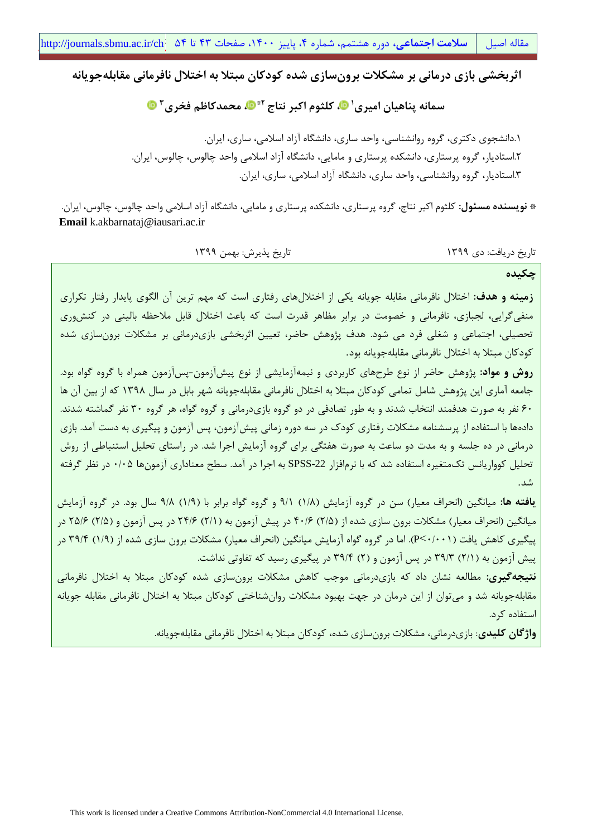مقاله اصیل **| سلامت اجتماعی،** دوره هشتمم، شماره ۴، پاییز ۱۴۰۰، صفحات ۴۳ تا ۵۴ <mark>chttp://journals.sbmu.ac.ir/ch</mark> م

**اثربخشی بازی درمانی بر مشکالت برونسازی شده کودکان مبتال به اختالل نافرمانی مقابلهجویانه**

سمانه پناهیان امیری<sup>، @</sup>، کلثوم اکبر نتاج <sup>۲</sup>\* ©، محمدکاظم فخری <sup>۳</sup>

.1دانشجوی دکتری، گروه روانشناسی، واحد ساری، دانشگاه آزاد اسالمی، ساری، ایران. .2استادیار، گروه پرستاری، دانشکده پرستاری و مامایی، دانشگاه آزاد اسالمی واحد چالوس، چالوس، ایران. .3استادیار، گروه روانشناسی، واحد ساری، دانشگاه آزاد اسالمی، ساری، ایران.

**\* نویسنده مسئول:** کلثوم اکبر نتاج، گروه پرستاری، دانشکده پرستاری و مامایی، دانشگاه آزاد اسالمی واحد چالوس، چالوس، ایران. **Email** k.akbarnataj@iausari.ac.ir

تاریخ دریافت: دی 1399 تاریخ پذیرش: بهمن 1399

**چکیده**

**زمینه و هدف:** اختالل نافرمانی مقابله جویانه یکی از اختاللهای رفتاری است که مهم ترین آن الگوی پایدار رفتار تکراری منفیگرایی، لجبازی، نافرمانی و خصومت در برابر مظاهر قدرت است که باعث اختالل قابل مالحظه بالینی در کنشوری تحصیلی، اجتماعی و شغلی فرد می شود. هدف پژوهش حاضر، تعیین اثربخشی بازیدرمانی بر مشکالت برونسازی شده کودکان مبتال به اختالل نافرمانی مقابلهجویانه بود.

**روش و مواد:** پژوهش حاضر از نوع طرحهای کاربردی و نیمهآزمایشی از نوع پیشآزمون-پسآزمون همراه با گروه گواه بود. جامعه آماری این پژوهش شامل تمامی کودکان مبتال به اختالل نافرمانی مقابلهجویانه شهر بابل در سال 1398 که از بین آن ها 60 نفر به صورت هدفمند انتخاب شدند و به طور تصادفی در دو گروه بازیدرمانی و گروه گواه، هر گروه 30 نفر گماشته شدند. دادهها با استفاده از پرسشنامه مشکالت رفتاری کودك در سه دوره زمانی پیشآزمون، پس آزمون و پیگیری به دست آمد. بازی درمانی در ده جلسه و به مدت دو ساعت به صورت هفتگی برای گروه آزمایش اجرا شد. در راستای تحلیل استنباطی از روش تحلیل کوواریانس تکمتغیره استفاده شد که با نرمافزار -22SPSS به اجرا در آمد. سطح معناداری آزمونها 0/05 در نظر گرفته شد.

**یافته ها:** میانگین )انحراف معیار( سن در گروه آزمایش )1/8( 9/1 و گروه گواه برابر با )1/9( 9/8 سال بود. در گروه آزمایش میانگین (انحراف معیار) مشکلات برون سازی شده از (۲/۵) ۴۰/۶ در پیش آزمون به (۲/۱) ۲۴/۶ در پس آزمون و (۲/۵) ۲۵/۶ در پیگیری کاهش یافت (P<۰/۰۰۱). اما در گروه گواه آزمایش میانگین (انحراف معیار) مشکلات برون سازی شده از (۱/۹) ۳۹/۴ در پیش آزمون به (۲/۱) ۳۹/۳ در پس آزمون و (۲) ۳۹/۴ در پیگیری رسید که تفاوتی نداشت.

**نتیجهگیری:** مطالعه نشان داد که بازیدرمانی موجب کاهش مشکالت برونسازی شده کودکان مبتال به اختالل نافرمانی مقابلهجویانه شد و میتوان از این درمان در جهت بهبود مشکالت روانشناختی کودکان مبتال به اختالل نافرمانی مقابله جویانه استفاده کرد.

**واژگان کلیدی**: بازیدرمانی، مشکالت برونسازی شده، کودکان مبتال به اختالل نافرمانی مقابلهجویانه.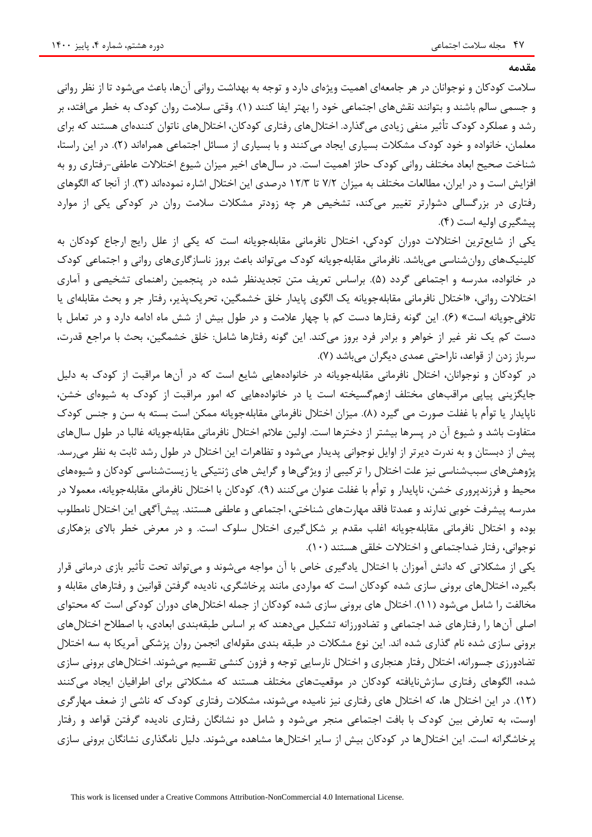**مقدمه**

سالمت کودکان و نوجوانان در هر جامعهای اهمیت ویژهای دارد و توجه به بهداشت روانی آنها، باعث میشود تا از نظر روانی و جسمی سالم باشند و بتوانند نقش های اجتماعی خود را بهتر ایفا کنند (۱). وقتی سلامت روان کودک به خطر می افتد، بر رشد و عملکرد کودك تأثیر منفی زیادی میگذارد. اختاللهای رفتاری کودکان، اختاللهای ناتوان کنندهای هستند که برای معلمان، خانواده و خود کودك مشکالت بسیاری ایجاد میکنند و با بسیاری از مسائل اجتماعی همراهاند )2(. در این راستا، شناخت صحیح ابعاد مختلف روانی کودك حائز اهمیت است. در سالهای اخیر میزان شیوع اختالالت عاطفی-رفتاری رو به افزایش است و در ایران، مطالعات مختلف به میزان 7/2 تا 12/3 درصدی این اختالل اشاره نمودهاند )3(. از آنجا که الگوهای رفتاری در بزرگسالی دشوارتر تغییر میکند، تشخیص هر چه زودتر مشکالت سالمت روان در کودکی یکی از موارد پیشگیری اولیه است )4(.

یکی از شایعترین اختالالت دوران کودکی، اختالل نافرمانی مقابلهجویانه است که یکی از علل رایج ارجاع کودکان به کلینیکهای روانشناسی میباشد. نافرمانی مقابلهجویانه کودك میتواند باعث بروز ناسازگاریهای روانی و اجتماعی کودك در خانواده، مدرسه و اجتماعی گردد )5(. براساس تعریف متن تجدیدنظر شده در پنجمین راهنمای تشخیصی و آماری اختالالت روانی، »اختالل نافرمانی مقابلهجویانه یک الگوی پایدار خلق خشمگین، تحریکپذیر، رفتار جر و بحث مقابلهای یا تالفیجویانه است« )6(. این گونه رفتارها دست کم با چهار عالمت و در طول بیش از شش ماه ادامه دارد و در تعامل با دست کم یک نفر غیر از خواهر و برادر فرد بروز میکند. این گونه رفتارها شامل: خلق خشمگین، بحث با مراجع قدرت، سرباز زدن از قواعد، ناراحتی عمدی دیگران میباشد )7(.

در کودکان و نوجوانان، اختالل نافرمانی مقابلهجویانه در خانوادههایی شایع است که در آنها مراقبت از کودك به دلیل جایگزینی پیاپی مراقبهای مختلف ازهمگسیخته است یا در خانوادههایی که امور مراقبت از کودك به شیوهای خشن، ناپایدار یا توأم با غفلت صورت می گیرد (٨). میزان اختلال نافرمانی مقابلهجویانه ممکن است بسته به سن و جنس کودک متفاوت باشد و شیوع آن در پسرها بیشتر از دخترها است. اولین عالئم اختالل نافرمانی مقابلهجویانه غالبا در طول سالهای پیش از دبستان و به ندرت دیرتر از اوایل نوجوانی پدیدار میشود و تظاهرات این اختالل در طول رشد ثابت به نظر میرسد. پژوهشهای سببشناسی نیز علت اختالل را ترکیبی از ویژگیها و گرایش های ژنتیکی یا زیستشناسی کودکان و شیوههای محیط و فرزندپروری خشن، ناپایدار و توأم با غفلت عنوان میکنند (۹). کودکان با اختلال نافرمانی مقابلهجویانه، معمولا در مدرسه پیشرفت خوبی ندارند و عمدتا فاقد مهارتهای شناختی، اجتماعی و عاطفی هستند. پیشآگهی این اختالل نامطلوب بوده و اختالل نافرمانی مقابلهجویانه اغلب مقدم بر شکلگیری اختالل سلوك است. و در معرض خطر باالی بزهکاری نوجوانی، رفتار ضداجتماعی و اختالالت خلقی هستند )10(.

یکی از مشکالتی که دانش آموزان با اختالل یادگیری خاص با آن مواجه میشوند و میتواند تحت تأثیر بازی درمانی قرار بگیرد، اختاللهای برونی سازی شده کودکان است که مواردی مانند پرخاشگری، نادیده گرفتن قوانین و رفتارهای مقابله و مخالفت را شامل میشود )11(. اختالل های برونی سازی شده کودکان از جمله اختاللهای دوران کودکی است که محتوای اصلی آنها را رفتارهای ضد اجتماعی و تضادورزانه تشکیل میدهند که بر اساس طبقهبندی ابعادی، با اصطالح اختاللهای برونی سازی شده نام گذاری شده اند. این نوع مشکالت در طبقه بندی مقولهای انجمن روان پزشکی آمریکا به سه اختالل تضادورزی جسورانه، اختالل رفتار هنجاری و اختالل نارسایی توجه و فزون کنشی تقسیم میشوند. اختاللهای برونی سازی شده، الگوهای رفتاری سازشنایافته کودکان در موقعیتهای مختلف هستند که مشکالتی برای اطرافیان ایجاد میکنند )12(. در این اختالل ها، که اختالل های رفتاری نیز نامیده میشوند، مشکالت رفتاری کودك که ناشی از ضعف مهارگری اوست، به تعارض بین کودك با بافت اجتماعی منجر میشود و شامل دو نشانگان رفتاری نادیده گرفتن قواعد و رفتار پرخاشگرانه است. این اختاللها در کودکان بیش از سایر اختاللها مشاهده میشوند. دلیل نامگذاری نشانگان برونی سازی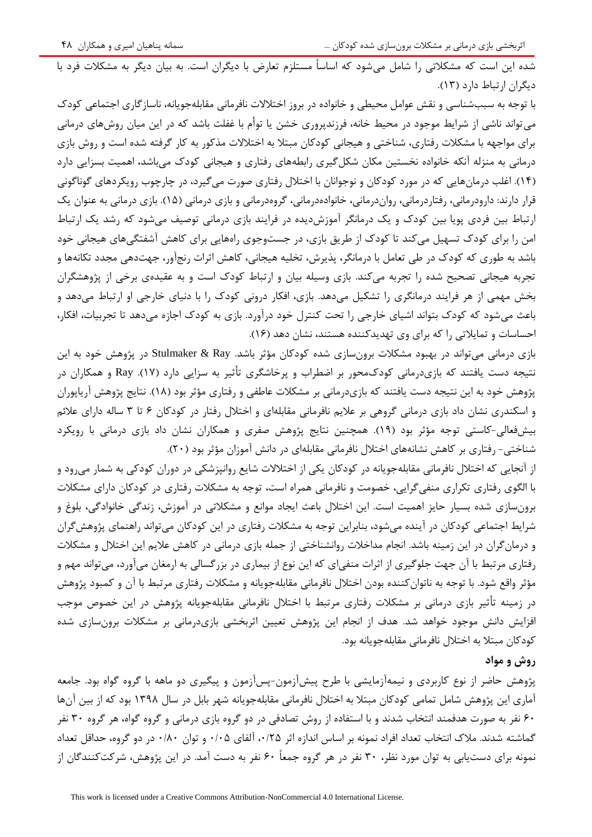شده این است که مشکالتی را شامل میشود که اساساً مستلزم تعارض با دیگران است. به بیان دیگر به مشکالت فرد با دیگران ارتباط دارد )13(.

با توجه به سببشناسی و نقش عوامل محیطی و خانواده در بروز اختالالت نافرمانی مقابلهجویانه، ناسازگاری اجتماعی کودك میتواند ناشی از شرایط موجود در محیط خانه، فرزندپروری خشن یا توأم با غفلت باشد که در این میان روشهای درمانی برای مواجهه با مشکالت رفتاری، شناختی و هیجانی کودکان مبتال به اختالالت مذکور به کار گرفته شده است و روش بازی درمانی به منزله آنکه خانواده نخستین مکان شکلگیری رابطههای رفتاری و هیجانی کودك میباشد، اهمیت بسزایی دارد )14(. اغلب درمانهایی که در مورد کودکان و نوجوانان با اختالل رفتاری صورت میگیرد، در چارچوب رویکردهای گوناگونی قرار دارند: دارودرمانی، رفتاردرمانی، رواندرمانی، خانوادهدرمانی، گروهدرمانی و بازی درمانی (۱۵). بازی درمانی به عنوان یک ارتباط بین فردی پویا بین کودك و یک درمانگر آموزشدیده در فرایند بازی درمانی توصیف میشود که رشد یک ارتباط امن را برای کودك تسهیل میکند تا کودك از طریق بازی، در جستوجوی راههایی برای کاهش آشفتگیهای هیجانی خود باشد به طوری که کودك در طی تعامل با درمانگر، پذیرش، تخلیه هیجانی، کاهش اثرات رنجآور، جهتدهی مجدد تکانهها و تجربه هیجانی تصحیح شده را تجربه میکند. بازی وسیله بیان و ارتباط کودك است و به عقیدهی برخی از پژوهشگران بخش مهمی از هر فرایند درمانگری را تشکیل میدهد. بازی، افکار درونی کودك را با دنیای خارجی او ارتباط میدهد و باعث میشود که کودك بتواند اشیای خارجی را تحت کنترل خود درآورد. بازی به کودك اجازه میدهد تا تجربیات، افکار، احساسات و تمایالتی را که برای وی تهدیدکننده هستند، نشان دهد )16(.

بازی درمانی میتواند در بهبود مشکالت برونسازی شده کودکان مؤثر باشد. Ray & Stulmaker در پژوهش خود به این نتیجه دست یافتند که بازیدرمانی کودكمحور بر اضطراب و پرخاشگری تأثیر به سزایی دارد )17(. Ray و همکاران در پژوهش خود به این نتیجه دست یافتند که بازیدرمانی بر مشکالت عاطفی و رفتاری مؤثر بود )18(. نتایج پژوهش آریاپوران و اسکندری نشان داد بازی درمانی گروهی بر عالیم نافرمانی مقابلهای و اختالل رفتار در کودکان 6 تا 3 ساله دارای عالئم بیشفعالی-کاستی توجه مؤثر بود )19(. همچنین نتایج پژوهش صفری و همکاران نشان داد بازی درمانی با رویکرد شناختی- رفتاری بر کاهش نشانههای اختالل نافرمانی مقابلهای در دانش آموزان مؤثر بود )20(.

از آنجایی که اختالل نافرمانی مقابلهجویانه در کودکان یکی از اختالالت شایع روانپزشکی در دوران کودکی به شمار میرود و با الگوی رفتاری تکراری منفیگرایی، خصومت و نافرمانی همراه است، توجه به مشکالت رفتاری در کودکان دارای مشکالت برونسازی شده بسیار حایز اهمیت است. این اختالل باعث ایجاد موانع و مشکالتی در آموزش، زندگی خانوادگی، بلوغ و شرایط اجتماعی کودکان در آینده میشود، بنابراین توجه به مشکالت رفتاری در این کودکان میتواند راهنمای پژوهشگران و درمانگران در این زمینه باشد. انجام مداخالت روانشناختی از جمله بازی درمانی در کاهش عالیم این اختالل و مشکالت رفتاری مرتبط با آن جهت جلوگیری از اثرات منفیای که این نوع از بیماری در بزرگسالی به ارمغان میآورد، میتواند مهم و مؤثر واقع شود. با توجه به ناتوانکننده بودن اختالل نافرمانی مقابلهجویانه و مشکالت رفتاری مرتبط با آن و کمبود پژوهش در زمینه تأثیر بازی درمانی بر مشکالت رفتاری مرتبط با اختالل نافرمانی مقابلهجویانه پژوهش در این خصوص موجب افزایش دانش موجود خواهد شد. هدف از انجام این پژوهش تعیین اثربخشی بازیدرمانی بر مشکالت برونسازی شده کودکان مبتال به اختالل نافرمانی مقابلهجویانه بود.

## **روش و مواد**

پژوهش حاضر از نوع کاربردی و نیمهآزمایشی با طرح پیشآزمون-پسآزمون و پیگیری دو ماهه با گروه گواه بود. جامعه آماری این پژوهش شامل تمامی کودکان مبتال به اختالل نافرمانی مقابلهجویانه شهر بابل در سال 1398 بود که از بین آنها 60 نفر به صورت هدفمند انتخاب شدند و با استفاده از روش تصادفی در دو گروه بازی درمانی و گروه گواه، هر گروه 30 نفر گماشته شدند. مالك انتخاب تعداد افراد نمونه بر اساس اندازه اثر ،0/25 آلفای 0/05 و توان 0/80 در دو گروه، حداقل تعداد نمونه برای دستیابی به توان مورد نظر، 30 نفر در هر گروه جمعاً 60 نفر به دست آمد. در این پژوهش، شرکتکنندگان از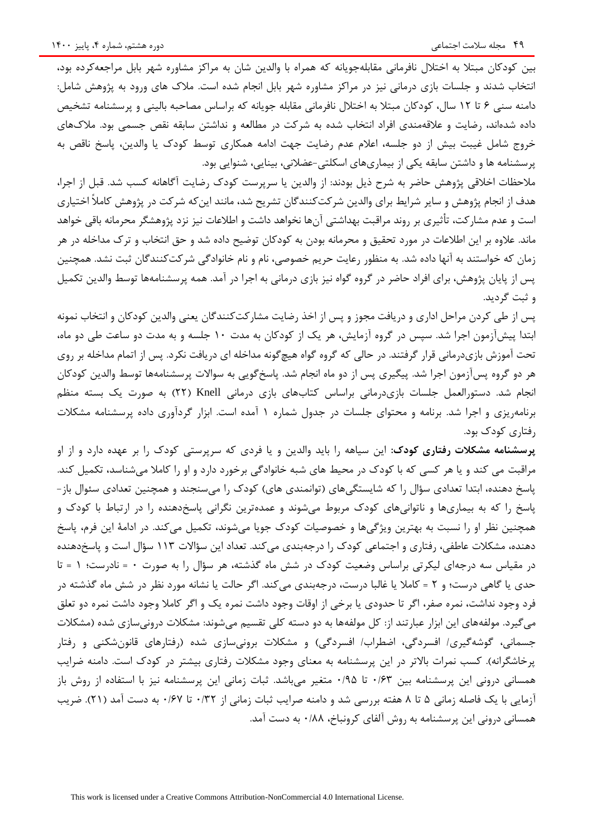بین کودکان مبتال به اختالل نافرمانی مقابلهجویانه که همراه با والدین شان به مراکز مشاوره شهر بابل مراجعهکرده بود، انتخاب شدند و جلسات بازی درمانی نیز در مراکز مشاوره شهر بابل انجام شده است. مالك های ورود به پژوهش شامل: دامنه سنی 6 تا 12 سال، کودکان مبتال به اختالل نافرمانی مقابله جویانه که براساس مصاحبه بالینی و پرسشنامه تشخیص داده شدهاند، رضایت و عالقهمندی افراد انتخاب شده به شرکت در مطالعه و نداشتن سابقه نقص جسمی بود. مالكهای خروج شامل غیبت بیش از دو جلسه، اعالم عدم رضایت جهت ادامه همکاری توسط کودك یا والدین، پاسخ ناقص به پرسشنامه ها و داشتن سابقه یکی از بیماریهای اسکلتی-عضالنی، بینایی، شنوایی بود.

مالحظات اخالقی پژوهش حاضر به شرح ذیل بودند: از والدین یا سرپرست کودك رضایت آگاهانه کسب شد. قبل از اجرا، هدف از انجام پژوهش و سایر شرایط برای والدین شرکتکنندگان تشریح شد، مانند اینکه شرکت در پژوهش کامالً اختیاری است و عدم مشارکت، تأثیری بر روند مراقبت بهداشتی آنها نخواهد داشت و اطالعات نیز نزد پژوهشگر محرمانه باقی خواهد ماند. عالوه بر این اطالعات در مورد تحقیق و محرمانه بودن به کودکان توضیح داده شد و حق انتخاب و ترك مداخله در هر زمان که خواستند به آنها داده شد. به منظور رعایت حریم خصوصی، نام و نام خانوادگی شرکتکنندگان ثبت نشد. همچنین پس از پایان پژوهش، برای افراد حاضر در گروه گواه نیز بازی درمانی به اجرا در آمد. همه پرسشنامهها توسط والدین تکمیل و ثبت گردید.

پس از طی کردن مراحل اداری و دریافت مجوز و پس از اخذ رضایت مشارکتکنندگان یعنی والدین کودکان و انتخاب نمونه ابتدا پیشآزمون اجرا شد. سپس در گروه آزمایش، هر یک از کودکان به مدت 10 جلسه و به مدت دو ساعت طی دو ماه، تحت آموزش بازیدرمانی قرار گرفتند. در حالی که گروه گواه هیچگونه مداخله ای دریافت نکرد. پس از اتمام مداخله بر روی هر دو گروه پسآزمون اجرا شد. پیگیری پس از دو ماه انجام شد. پاسخگویی به سواالت پرسشنامهها توسط والدین کودکان انجام شد. دستورالعمل جلسات بازیدرمانی براساس کتابهای بازی درمانی Knell( 22 )به صورت یک بسته منظم برنامهریزی و اجرا شد. برنامه و محتوای جلسات در جدول شماره 1 آمده است. ابزار گردآوری داده پرسشنامه مشکالت رفتاری کودك بود.

**پرسشنامه مشکالت رفتاری کودك:** این سیاهه را باید والدین و یا فردی که سرپرستی کودك را بر عهده دارد و از او مراقبت می کند و یا هر کسی که با کودك در محیط های شبه خانوادگی برخورد دارد و او را کامال میشناسد، تکمیل کند. پاسخ دهنده، ابتدا تعدادی سؤال را که شایستگیهای (توانمندی های) کودک را میسنجند و همچنین تعدادی سئوال باز-پاسخ را که به بیماریها و ناتوانیهای کودك مربوط میشوند و عمدهترین نگرانی پاسخدهنده را در ارتباط با کودك و همچنین نظر او را نسبت به بهترین ویژگیها و خصوصیات کودك جویا میشوند، تکمیل میکند. در ادامة این فرم، پاسخ دهنده، مشکالت عاطفی، رفتاری و اجتماعی کودك را درجهبندی میکند. تعداد این سؤاالت 113 سؤال است و پاسخدهنده در مقیاس سه درجهای لیکرتی براساس وضعیت کودك در شش ماه گذشته، هر سؤال را به صورت 0 = نادرست؛ 1 = تا حدی یا گاهی درست؛ و 2 = کامال یا غالبا درست، درجهبندی میکند. اگر حالت یا نشانه مورد نظر در شش ماه گذشته در فرد وجود نداشت، نمره صفر، اگر تا حدودی یا برخی از اوقات وجود داشت نمره یک و اگر کامال وجود داشت نمره دو تعلق میگیرد. مولفههای این ابزار عبارتند از: کل مولفهها به دو دسته کلی تقسیم میشوند: مشکالت درونیسازی شده )مشکالت جسمانی، گوشهگیری/ افسردگی، اضطراب/ افسردگی) و مشکلات برونیسازی شده (رفتارهای قانونشکنی و رفتار پرخاشگرانه). کسب نمرات بالاتر در این پرسشنامه به معنای وجود مشکلات رفتاری بیشتر در کودک است. دامنه ضرایب همسانی درونی این پرسشنامه بین 0/63 تا 0/95 متغیر میباشد. ثبات زمانی این پرسشنامه نیز با استفاده از روش باز آزمایی با یک فاصله زمانی 5 تا 8 هفته بررسی شد و دامنه صرایب ثبات زمانی از 0/32 تا 0/67 به دست آمد )21(. ضریب همسانی درونی این پرسشنامه به روش آلفای کرونباخ، 0/88 به دست آمد.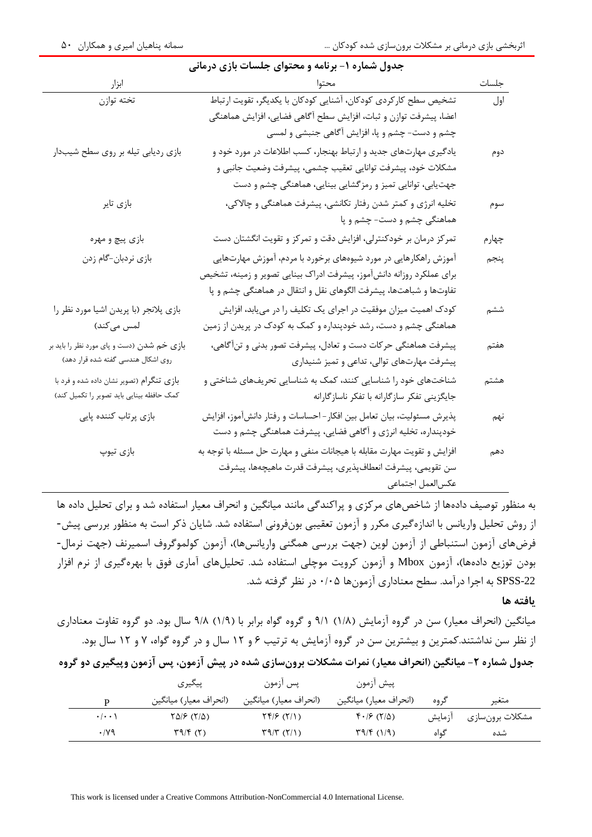| ابزار                                      | محتوا                                                                     | جلسات |
|--------------------------------------------|---------------------------------------------------------------------------|-------|
| تخته توازن                                 | تشخیص سطح کارکردی کودکان، آشنایی کودکان با یکدیگر، تقویت ارتباط           | اول   |
|                                            | اعضا، پیشرفت توازن و ثبات، افزایش سطح آگاهی فضایی، افزایش هماهنگی         |       |
|                                            | چشم و دست- چشم و پا، افزایش آگاهی جنبشی و لمسی                            |       |
| بازی ردیابی تیله بر روی سطح شیبدار         | یادگیری مهارتهای جدید و ارتباط بهنجار، کسب اطلاعات در مورد خود و          | دوم   |
|                                            | مشکلات خود، پیشرفت توانایی تعقیب چشمی، پیشرفت وضعیت جانبی و               |       |
|                                            | جهتیابی، توانایی تمیز و رمزگشایی بینایی، هماهنگی چشم و دست                |       |
| بازى تاير                                  | تخلیه انرژی و کمتر شدن رفتار تکانشی، پیشرفت هماهنگی و چالاکی،             | سوم   |
|                                            | هماهنگی چشم و دست- چشم و پا                                               |       |
| بازي پيچ و مهره                            | تمرکز درمان بر خودکنترلی، افزایش دقت و تمرکز و تقویت انگشتان دست          | چهارم |
| بازي نردبان-گام زدن                        | آموزش راهکارهایی در مورد شیوههای برخورد با مردم، آموزش مهارتهایی          | پنجم  |
|                                            | برای عملکرد روزانه دانشآموز، پیشرفت ادراک بینایی تصویر و زمینه، تشخیص     |       |
|                                            | تفاوتها و شباهتها، پیشرفت الگوهای نقل و انتقال در هماهنگی چشم و پا        |       |
| بازی پلانجر (با پریدن اشیا مورد نظر را     | کودک اهمیت میزان موفقیت در اجرای یک تکلیف را در مییابد، افزایش            | ششم   |
| لمس مىكند)                                 | هماهنگی چشم و دست، رشد خودپنداره و کمک به کودک در پریدن از زمین           |       |
| بازی خم شدن (دست و پای مورد نظر را باید بر | پیشرفت هماهنگی حرکات دست و تعادل، پیشرفت تصور بدنی و تنآگاهی،             | هفتم  |
| روی اشکال هندسی گفته شده قرار دهد)         | پیشرفت مهارتهای توالی، تداعی و تمیز شنیداری                               |       |
| بازی تنگرام (تصویر نشان داده شده و فرد با  | شناختهای خود را شناسایی کنند، کمک به شناسایی تحریفهای شناختی و            | هشتم  |
| کمک حافظه بینایی باید تصویر را تکمیل کند)  | جایگزینی تفکر سازگارانه با تفکر ناسازگارانه                               |       |
| بازی پرتاب کننده پایی                      | پذیرش مسئولیت، بیان تعامل بین افکار – احساسات و رفتار دانش[موز، افزایش    | نهم   |
|                                            | خودپنداره، تخلیه انرژی و آگاهی فضایی، پیشرفت هماهنگی چشم و دست            |       |
| بازي تيوپ                                  | افزایش و تقویت مهارت مقابله با هیجانات منفی و مهارت حل مسئله با توجه به   | دهم   |
|                                            | سن تقويمى، پيشرفت انعطاف $\downarrow$ يذيرى، پيشرفت قدرت ماهيچەها، پيشرفت |       |
|                                            | عكسالعمل اجتماعي                                                          |       |

## **جدول شماره -1 برنامه و محتوای جلسات بازی درمانی**

به منظور توصیف دادهها از شاخصهای مرکزی و پراکندگی مانند میانگین و انحراف معیار استفاده شد و برای تحلیل داده ها از روش تحلیل واریانس با اندازهگیری مکرر و آزمون تعقیبی بونفرونی استفاده شد. شایان ذکر است به منظور بررسی پیش- فرضهای آزمون استنباطی از آزمون لوین (جهت بررسی همگنی واریانسها)، آزمون کولموگروف اسمیرنف (جهت نرمال-بودن توزیع دادهها)، آزمون Mbox و آزمون کرویت موچلی استفاده شد. تحلیلهای آماری فوق با بهرهگیری از نرم افزار -22SPSS به اجرا درآمد. سطح معناداری آزمونها 0/05 در نظر گرفته شد.

**یافته ها**

میانگین (انحراف معیار) سن در گروه آزمایش (۱/۸) ۹/۱ و گروه گواه برابر با (۱/۹) ۹/۸ سال بود. دو گروه تفاوت معناداری از نظر سن نداشتند.کمترین و بیشترین سن در گروه آزمایش به ترتیب 6 و 12 سال و در گروه گواه، 7 و 12 سال بود.

**جدول شماره -2 میانگین )انحراف معیار( نمرات مشکالت برونسازی شده در پیش آزمون، پس آزمون وپیگیری دو گروه**

|                     | ييڭيرى                 | پس ازمون                       | پيش ازمون                                                                                                         |        |                 |
|---------------------|------------------------|--------------------------------|-------------------------------------------------------------------------------------------------------------------|--------|-----------------|
| D                   | (انحراف معيار) ميانگين | (انحراف معيار) ميانگين         | (انحراف معيار) ميانگين                                                                                            | گ وه   | متغير           |
| $\cdot$ / $\cdot$ ) | (۲۵۱۶ (۲۵              | $\Upsilon f/\zeta(\Upsilon/1)$ | $\mathfrak{f}\cdot\mathfrak{f}\cdot\mathfrak{f}$ ( $\mathfrak{f}\mathfrak{g}\cdot\mathfrak{f}\cdot\mathfrak{f}$ ) | ازمايش | مشكلات برونسازي |
| $\cdot$ /yq         | $\Gamma$ 9/۴ $(5)$     | $\Gamma$ 9/۳ $($ ۲/۱)          | $\uparrow q/\uparrow$ (1/9)                                                                                       | گەاە   | شده             |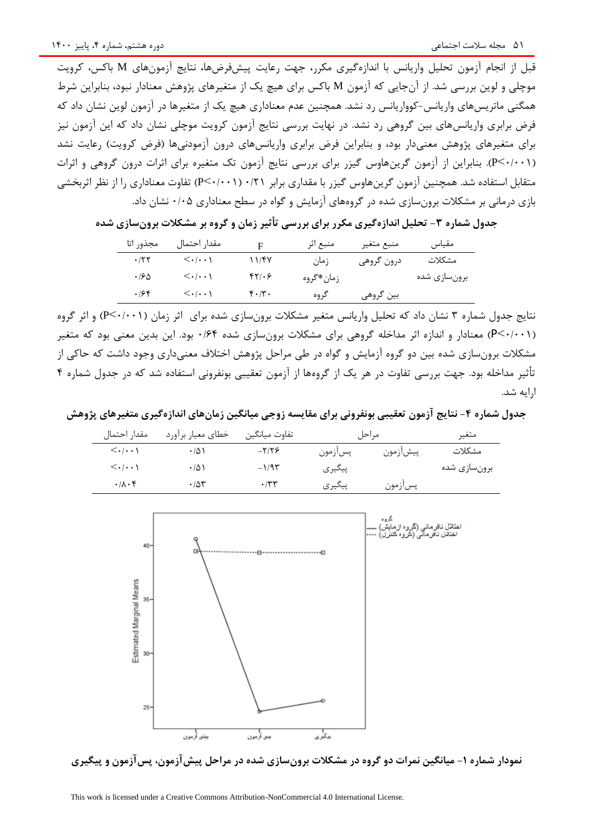قبل از انجام آزمون تحلیل واریانس با اندازهگیری مکرر، جهت رعایت پیشفرضها، نتایج آزمونهای M باکس، کرویت موچلی و لوین بررسی شد. از آنجایی که آزمون M باکس برای هیچ یک از متغیرهای پژوهش معنادار نبود، بنابراین شرط همگنی ماتریسهای واریانس-کوواریانس رد نشد. همچنین عدم معناداری هیچ یک از متغیرها در آزمون لوین نشان داد که فرض برابری واریانسهای بین گروهی رد نشد. در نهایت بررسی نتایج آزمون کرویت موچلی نشان داد که این آزمون نیز برای متغیرهای پژوهش معنی دار بود، و بنابراین فرض برابری واریانسهای درون آزمودنیها (فرض کرویت) رعایت نشد )0/001<P). بنابراین از آزمون گرینهاوس گیزر برای بررسی نتایج آزمون تک متغیره برای اثرات درون گروهی و اثرات متقابل استفاده شد. همچنین آزمون گرینهاوس گیزر با مقداری برابر 0/21 )0/001<P )تفاوت معناداری را از نظر اثربخشی بازی درمانی بر مشکالت برونسازی شده در گروههای آزمایش و گواه در سطح معناداری 0/05 نشان داد.

 $\rm{F}$  مقیاس منبع متغیر منبع اثر مقدار احتمال مجذور اتا<br>مقدار احتمال مجذور اتا مشکالت برونسازی شده درون گروهی زمان 11/47 0/001< 0/22 زمانگروه 42/06 0/001< 0/65 بین گروهی گروه 40/30 0/001< 0/64

**جدول شماره -3 تحلیل اندازهگیری مکرر برای بررسی تأثیر زمان و گروه بر مشکالت برونسازی شده**

نتایج جدول شماره 3 نشان داد که تحلیل واریانس متغیر مشکالت برونسازی شده برای اثر زمان )0/001<P )و اثر گروه )0/001<P )معنادار و اندازه اثر مداخله گروهی برای مشکالت برونسازی شده 0/64 بود. این بدین معنی بود که متغیر مشکالت برونسازی شده بین دو گروه آزمایش و گواه در طی مراحل پژوهش اختالف معنیداری وجود داشت که حاکی از تأثیر مداخله بود. جهت بررسی تفاوت در هر یک از گروهها از آزمون تعقیبی بونفرونی استفاده شد که در جدول شماره 4 ارایه شد.

جدول شماره ۴- نتایج آزمون تعقیبی بونفرونی برای مقایسه زوجی میانگین زمانهای اندازهگیری متغیرهای پژوهش

| مقدار احتمال                          | خطاي معيار برأورد | تفاوت ميانگين |         | مہ احا   | متغير        |
|---------------------------------------|-------------------|---------------|---------|----------|--------------|
| $\langle \cdot   \cdot \cdot \rangle$ | ۱۵۱               | $-7/79$       | پسازمون | پيشازمون | مشكلات       |
| $\langle \cdot   \cdot \cdot \rangle$ | $\cdot$ /5)       | $-1/95$       | پیگیری  |          | برونسازي شده |
| $\cdot/\lambda\cdot f$                | $\cdot$ /5۳       | $\cdot$ /۳۳   | پيگيري  | پسازمون  |              |



**نمودار شماره -1 میانگین نمرات دو گروه در مشکالت برونسازی شده در مراحل پیشآزمون، پسآزمون و پیگیری**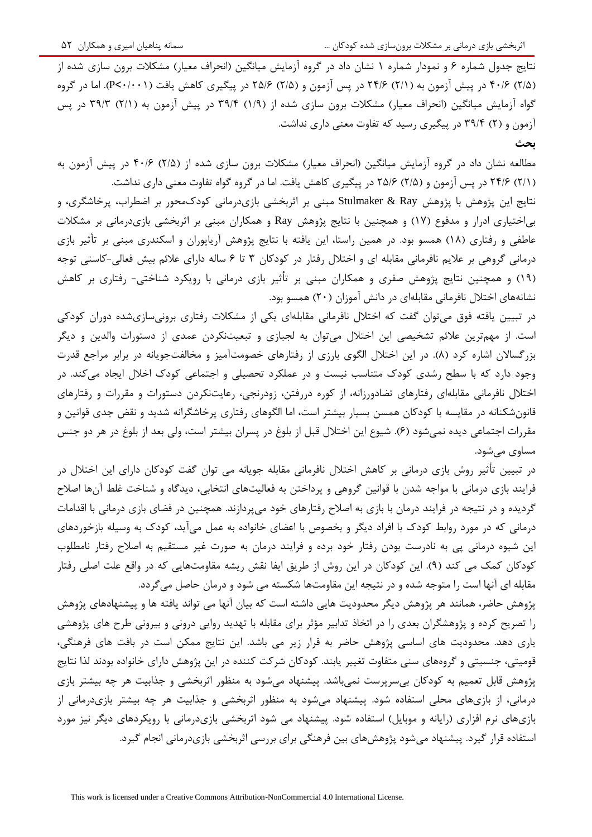نتایج جدول شماره ۶ و نمودار شماره ۱ نشان داد در گروه آزمایش میانگین (انحراف معیار) مشکلات برون سازی شده از )2/5( 40/6 در پیش آزمون به )2/1( 24/6 در پس آزمون و )2/5( 25/6 در پیگیری کاهش یافت )0/001<P). اما در گروه گواه آزمایش میانگین (انحراف معیار) مشکلات برون سازی شده از (۱/۹) ۳۹/۴ در پیش آزمون به (۲/۱) ۳۹/۳ در پس آزمون و )2( 39/4 در پیگیری رسید که تفاوت معنی داری نداشت.

**بحث**

مطالعه نشان داد در گروه آزمایش میانگین (انحراف معیار) مشکلات برون سازی شده از (۲/۵) ۴۰/۶ در پیش آزمون به )2/1( 24/6 در پس آزمون و )2/5( 25/6 در پیگیری کاهش یافت. اما در گروه گواه تفاوت معنی داری نداشت.

نتایج این پژوهش با پژوهش Ray & Stulmaker مبنی بر اثربخشی بازیدرمانی کودكمحور بر اضطراب، پرخاشگری، و بیاختیاری ادرار و مدفوع )17( و همچنین با نتایج پژوهش Ray و همکاران مبنی بر اثربخشی بازیدرمانی بر مشکالت عاطفی و رفتاری (۱۸) همسو بود. در همین راستا، این یافته با نتایج پژوهش آریاپوران و اسکندری مبنی بر تأثیر بازی درمانی گروهی بر عالیم نافرمانی مقابله ای و اختالل رفتار در کودکان 3 تا 6 ساله دارای عالئم بیش فعالی-کاستی توجه )19( و همچنین نتایج پژوهش صفری و همکاران مبنی بر تأثیر بازی درمانی با رویکرد شناختی- رفتاری بر کاهش نشانههای اختالل نافرمانی مقابلهای در دانش آموزان )20( همسو بود.

در تبیین یافته فوق میتوان گفت که اختالل نافرمانی مقابلهای یکی از مشکالت رفتاری برونیسازیشده دوران کودکی است. از مهمترین عالئم تشخیصی این اختالل میتوان به لجبازی و تبعیتنکردن عمدی از دستورات والدین و دیگر بزرگسالان اشاره کرد (۸). در این اختلال الگوی بارزی از رفتارهای خصومتآمیز و مخالفتجویانه در برابر مراجع قدرت وجود دارد که با سطح رشدی کودك متناسب نیست و در عملکرد تحصیلی و اجتماعی کودك اخالل ایجاد میکند. در اختالل نافرمانی مقابلهای رفتارهای تضادورزانه، از کوره دررفتن، زودرنجی، رعایتنکردن دستورات و مقررات و رفتارهای قانونشکنانه در مقایسه با کودکان همسن بسیار بیشتر است، اما الگوهای رفتاری پرخاشگرانه شدید و نقض جدی قوانین و مقررات اجتماعی دیده نمیشود (۶). شیوع این اختلال قبل از بلوغ در پسران بیشتر است، ولی بعد از بلوغ در هر دو جنس مساوی میشود.

در تبیین تأثیر روش بازی درمانی بر کاهش اختالل نافرمانی مقابله جویانه می توان گفت کودکان دارای این اختالل در فرایند بازی درمانی با مواجه شدن با قوانین گروهی و پرداختن به فعالیتهای انتخابی، دیدگاه و شناخت غلط آنها اصالح گردیده و در نتیجه در فرایند درمان با بازی به اصالح رفتارهای خود میپردازند. همچنین در فضای بازی درمانی با اقدامات درمانی که در مورد روابط کودك با افراد دیگر و بخصوص با اعضای خانواده به عمل میآید، کودك به وسیله بازخوردهای این شیوه درمانی پی به نادرست بودن رفتار خود برده و فرایند درمان به صورت غیر مستقیم به اصالح رفتار نامطلوب کودکان کمک می کند (۹). این کودکان در این روش از طریق ایفا نقش ریشه مقاومتهایی که در واقع علت اصلی رفتار مقابله ای آنها است را متوجه شده و در نتیجه این مقاومتها شکسته می شود و درمان حاصل میگردد.

پژوهش حاضر، همانند هر پژوهش دیگر محدودیت هایی داشته است که بیان آنها می تواند یافته ها و پیشنهادهای پژوهش را تصریح کرده و پژوهشگران بعدی را در اتخاذ تدابیر مؤثر برای مقابله با تهدید روایی درونی و بیرونی طرح های پژوهشی یاری دهد. محدودیت های اساسی پژوهش حاضر به قرار زیر می باشد. این نتایج ممکن است در بافت های فرهنگی، قومیتی، جنسیتی و گروههای سنی متفاوت تغییر یابند. کودکان شرکت کننده در این پژوهش دارای خانواده بودند لذا نتایج پژوهش قابل تعمیم به کودکان بیسرپرست نمیباشد. پیشنهاد میشود به منظور اثربخشی و جذابیت هر چه بیشتر بازی درمانی، از بازیهای محلی استفاده شود. پیشنهاد میشود به منظور اثربخشی و جذابیت هر چه بیشتر بازیدرمانی از بازیهای نرم افزاری )رایانه و موبایل( استفاده شود. پیشنهاد می شود اثربخشی بازیدرمانی با رویکردهای دیگر نیز مورد استفاده قرار گیرد. پیشنهاد میشود پژوهشهای بین فرهنگی برای بررسی اثربخشی بازیدرمانی انجام گیرد.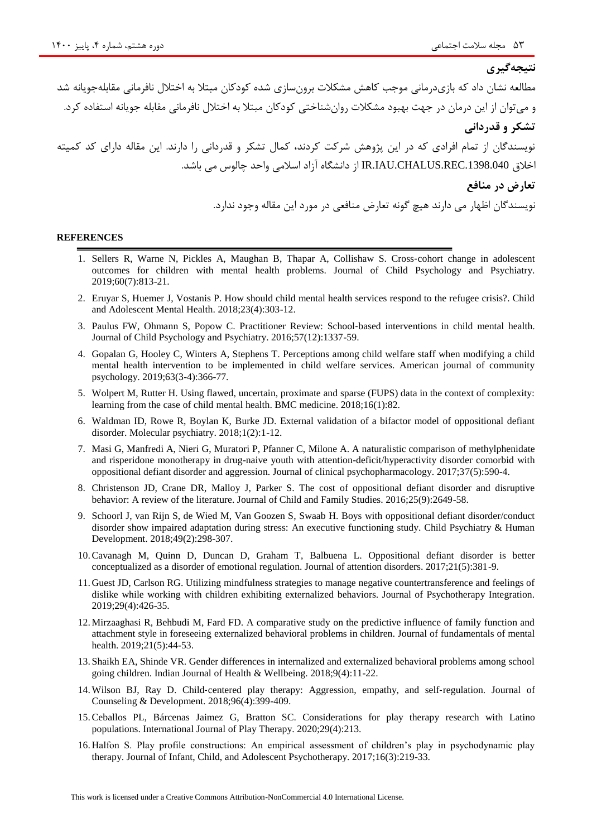# **نتیجهگیری**

مطالعه نشان داد که بازیدرمانی موجب کاهش مشکالت برونسازی شده کودکان مبتال به اختالل نافرمانی مقابلهجویانه شد و میتوان از این درمان در جهت بهبود مشکالت روانشناختی کودکان مبتال به اختالل نافرمانی مقابله جویانه استفاده کرد. **تشکر و قدردانی** نویسندگان از تمام افرادی که در این پژوهش شرکت کردند، کمال تشکر و قدردانی را دارند. این مقاله دارای کد کمیته اخالق .1398.040REC.CHALUS.IAU.IR از دانشگاه آزاد اسالمی واحد چالوس می باشد. **تعارض در منافع** نویسندگان اظهار می دارند هیچ گونه تعارض منافعی در مورد این مقاله وجود ندارد.

#### **REFERENCES**

- 1. Sellers R, Warne N, Pickles A, Maughan B, Thapar A, Collishaw S. Cross-cohort change in adolescent outcomes for children with mental health problems. Journal of Child Psychology and Psychiatry. 2019;60(7):813-21.
- 2. Eruyar S, Huemer J, Vostanis P. How should child mental health services respond to the refugee crisis?. Child and Adolescent Mental Health. 2018;23(4):303-12.
- 3. Paulus FW, Ohmann S, Popow C. Practitioner Review: School‐based interventions in child mental health. Journal of Child Psychology and Psychiatry. 2016;57(12):1337-59.
- 4. Gopalan G, Hooley C, Winters A, Stephens T. Perceptions among child welfare staff when modifying a child mental health intervention to be implemented in child welfare services. American journal of community psychology. 2019;63(3-4):366-77.
- 5. Wolpert M, Rutter H. Using flawed, uncertain, proximate and sparse (FUPS) data in the context of complexity: learning from the case of child mental health. BMC medicine. 2018;16(1):82.
- 6. Waldman ID, Rowe R, Boylan K, Burke JD. External validation of a bifactor model of oppositional defiant disorder. Molecular psychiatry. 2018;1(2):1-12.
- 7. Masi G, Manfredi A, Nieri G, Muratori P, Pfanner C, Milone A. A naturalistic comparison of methylphenidate and risperidone monotherapy in drug-naive youth with attention-deficit/hyperactivity disorder comorbid with oppositional defiant disorder and aggression. Journal of clinical psychopharmacology. 2017;37(5):590-4.
- 8. Christenson JD, Crane DR, Malloy J, Parker S. The cost of oppositional defiant disorder and disruptive behavior: A review of the literature. Journal of Child and Family Studies. 2016;25(9):2649-58.
- 9. Schoorl J, van Rijn S, de Wied M, Van Goozen S, Swaab H. Boys with oppositional defiant disorder/conduct disorder show impaired adaptation during stress: An executive functioning study. Child Psychiatry & Human Development. 2018;49(2):298-307.
- 10.Cavanagh M, Quinn D, Duncan D, Graham T, Balbuena L. Oppositional defiant disorder is better conceptualized as a disorder of emotional regulation. Journal of attention disorders. 2017;21(5):381-9.
- 11. Guest JD, Carlson RG. Utilizing mindfulness strategies to manage negative countertransference and feelings of dislike while working with children exhibiting externalized behaviors. Journal of Psychotherapy Integration. 2019;29(4):426-35.
- 12.Mirzaaghasi R, Behbudi M, Fard FD. A comparative study on the predictive influence of family function and attachment style in foreseeing externalized behavioral problems in children. Journal of fundamentals of mental health. 2019;21(5):44-53.
- 13. Shaikh EA, Shinde VR. Gender differences in internalized and externalized behavioral problems among school going children. Indian Journal of Health & Wellbeing. 2018;9(4):11-22.
- 14. Wilson BJ, Ray D. Child-centered play therapy: Aggression, empathy, and self-regulation. Journal of Counseling & Development. 2018;96(4):399-409.
- 15.Ceballos PL, Bárcenas Jaimez G, Bratton SC. Considerations for play therapy research with Latino populations. International Journal of Play Therapy. 2020;29(4):213.
- 16. Halfon S. Play profile constructions: An empirical assessment of children's play in psychodynamic play therapy. Journal of Infant, Child, and Adolescent Psychotherapy. 2017;16(3):219-33.